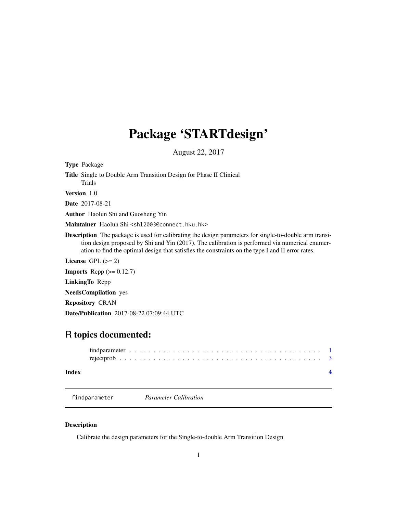## <span id="page-0-0"></span>Package 'STARTdesign'

August 22, 2017

| <b>Type Package</b>                                                                                                                                                                                                                                                                                                  |
|----------------------------------------------------------------------------------------------------------------------------------------------------------------------------------------------------------------------------------------------------------------------------------------------------------------------|
| Title Single to Double Arm Transition Design for Phase II Clinical<br><b>Trials</b>                                                                                                                                                                                                                                  |
| <b>Version</b> 1.0                                                                                                                                                                                                                                                                                                   |
| <b>Date</b> 2017-08-21                                                                                                                                                                                                                                                                                               |
| <b>Author</b> Haolun Shi and Guosheng Yin                                                                                                                                                                                                                                                                            |
| Maintainer Haolun Shi <sh12003@connect.hku.hk></sh12003@connect.hku.hk>                                                                                                                                                                                                                                              |
| <b>Description</b> The package is used for calibrating the design parameters for single-to-double arm transi-<br>tion design proposed by Shi and Yin (2017). The calibration is performed via numerical enumer-<br>ation to find the optimal design that satisfies the constraints on the type I and II error rates. |
| License $GPL (= 2)$                                                                                                                                                                                                                                                                                                  |
| <b>Imports</b> Repp $(>= 0.12.7)$                                                                                                                                                                                                                                                                                    |
| <b>LinkingTo</b> Repp                                                                                                                                                                                                                                                                                                |
| <b>NeedsCompilation</b> yes                                                                                                                                                                                                                                                                                          |
| <b>Repository CRAN</b>                                                                                                                                                                                                                                                                                               |

Date/Publication 2017-08-22 07:09:44 UTC

### R topics documented:

| Index |  |  |  |  |  |  |  |  |  |  |  |  |  |  |  |  |  |  |  |  |  |
|-------|--|--|--|--|--|--|--|--|--|--|--|--|--|--|--|--|--|--|--|--|--|

findparameter *Parameter Calibration*

Description

Calibrate the design parameters for the Single-to-double Arm Transition Design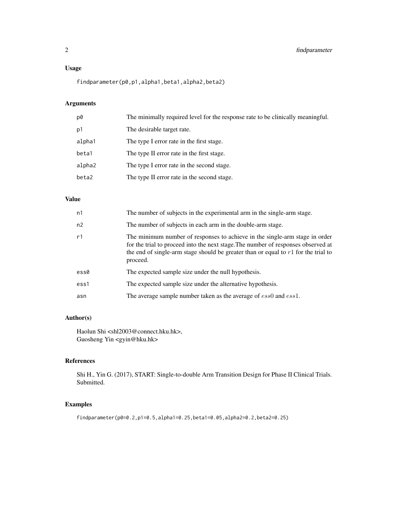#### Usage

findparameter(p0,p1,alpha1,beta1,alpha2,beta2)

### Arguments

| p0     | The minimally required level for the response rate to be clinically meaningful. |
|--------|---------------------------------------------------------------------------------|
| p1     | The desirable target rate.                                                      |
| alpha1 | The type I error rate in the first stage.                                       |
| beta1  | The type II error rate in the first stage.                                      |
| alpha2 | The type I error rate in the second stage.                                      |
| beta2  | The type II error rate in the second stage.                                     |
|        |                                                                                 |

#### Value

| n1   | The number of subjects in the experimental arm in the single-arm stage.                                                                                                                                                                                              |
|------|----------------------------------------------------------------------------------------------------------------------------------------------------------------------------------------------------------------------------------------------------------------------|
| n2   | The number of subjects in each arm in the double-arm stage.                                                                                                                                                                                                          |
| r1   | The minimum number of responses to achieve in the single-arm stage in order<br>for the trial to proceed into the next stage. The number of responses observed at<br>the end of single-arm stage should be greater than or equal to $r1$ for the trial to<br>proceed. |
| ess0 | The expected sample size under the null hypothesis.                                                                                                                                                                                                                  |
| ess1 | The expected sample size under the alternative hypothesis.                                                                                                                                                                                                           |
| asn  | The average sample number taken as the average of ess0 and ess1.                                                                                                                                                                                                     |

### Author(s)

Haolun Shi <shl2003@connect.hku.hk>, Guosheng Yin <gyin@hku.hk>

#### References

Shi H., Yin G. (2017), START: Single-to-double Arm Transition Design for Phase II Clinical Trials. Submitted.

#### Examples

findparameter(p0=0.2,p1=0.5,alpha1=0.25,beta1=0.05,alpha2=0.2,beta2=0.25)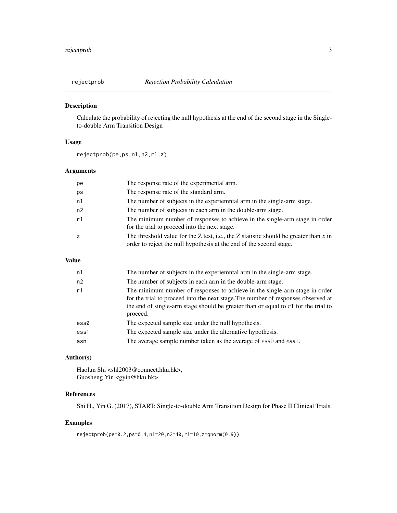<span id="page-2-0"></span>

#### Description

Calculate the probability of rejecting the null hypothesis at the end of the second stage in the Singleto-double Arm Transition Design

#### Usage

rejectprob(pe,ps,n1,n2,r1,z)

#### Arguments

| рe             | The response rate of the experimental arm.                                                                                                                     |
|----------------|----------------------------------------------------------------------------------------------------------------------------------------------------------------|
| ps             | The response rate of the standard arm.                                                                                                                         |
| n1             | The number of subjects in the experiemntal arm in the single-arm stage.                                                                                        |
| n <sub>2</sub> | The number of subjects in each arm in the double-arm stage.                                                                                                    |
| r1             | The minimum number of responses to achieve in the single-arm stage in order<br>for the trial to proceed into the next stage.                                   |
| $\overline{z}$ | The threshold value for the Z test, i.e., the Z statistic should be greater than $z$ in<br>order to reject the null hypothesis at the end of the second stage. |

#### Value

| n1   | The number of subjects in the experiemntal arm in the single-arm stage.                                                                                                                                                                                              |
|------|----------------------------------------------------------------------------------------------------------------------------------------------------------------------------------------------------------------------------------------------------------------------|
| n2   | The number of subjects in each arm in the double-arm stage.                                                                                                                                                                                                          |
| r1   | The minimum number of responses to achieve in the single-arm stage in order<br>for the trial to proceed into the next stage. The number of responses observed at<br>the end of single-arm stage should be greater than or equal to $r1$ for the trial to<br>proceed. |
| ess0 | The expected sample size under the null hypothesis.                                                                                                                                                                                                                  |
| ess1 | The expected sample size under the alternative hypothesis.                                                                                                                                                                                                           |
| asn  | The average sample number taken as the average of ess0 and ess1.                                                                                                                                                                                                     |

#### Author(s)

Haolun Shi <shl2003@connect.hku.hk>, Guosheng Yin <gyin@hku.hk>

#### References

Shi H., Yin G. (2017), START: Single-to-double Arm Transition Design for Phase II Clinical Trials.

#### Examples

```
rejectprob(pe=0.2,ps=0.4,n1=20,n2=40,r1=10,z=qnorm(0.9))
```